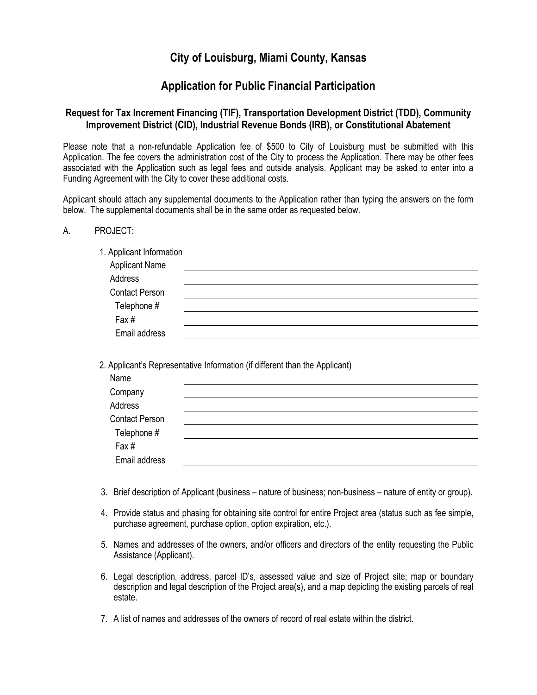# **City of Louisburg, Miami County, Kansas**

# **Application for Public Financial Participation**

## **Request for Tax Increment Financing (TIF), Transportation Development District (TDD), Community Improvement District (CID), Industrial Revenue Bonds (IRB), or Constitutional Abatement**

Please note that a non-refundable Application fee of \$500 to City of Louisburg must be submitted with this Application. The fee covers the administration cost of the City to process the Application. There may be other fees associated with the Application such as legal fees and outside analysis. Applicant may be asked to enter into a Funding Agreement with the City to cover these additional costs.

Applicant should attach any supplemental documents to the Application rather than typing the answers on the form below. The supplemental documents shall be in the same order as requested below.

A. PROJECT:

1. Applicant Information

2. Applicant's Representative Information (if different than the Applicant)

- 3. Brief description of Applicant (business nature of business; non-business nature of entity or group).
- 4. Provide status and phasing for obtaining site control for entire Project area (status such as fee simple, purchase agreement, purchase option, option expiration, etc.).
- 5. Names and addresses of the owners, and/or officers and directors of the entity requesting the Public Assistance (Applicant).
- 6. Legal description, address, parcel ID's, assessed value and size of Project site; map or boundary description and legal description of the Project area(s), and a map depicting the existing parcels of real estate.
- 7. A list of names and addresses of the owners of record of real estate within the district.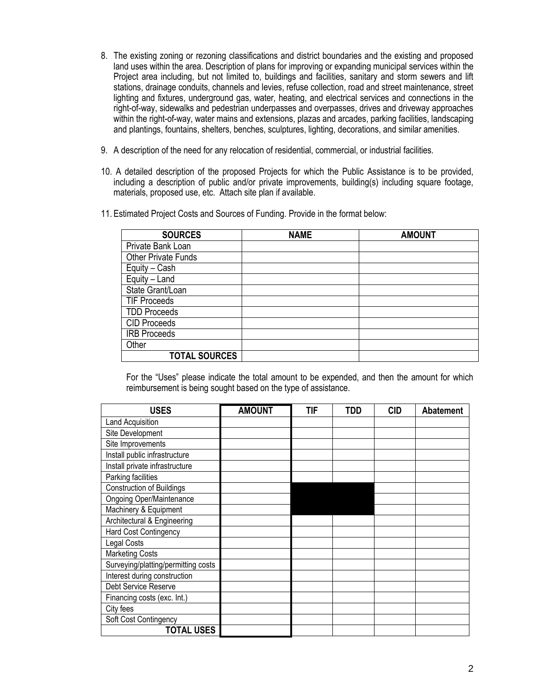- 8. The existing zoning or rezoning classifications and district boundaries and the existing and proposed land uses within the area. Description of plans for improving or expanding municipal services within the Project area including, but not limited to, buildings and facilities, sanitary and storm sewers and lift stations, drainage conduits, channels and levies, refuse collection, road and street maintenance, street lighting and fixtures, underground gas, water, heating, and electrical services and connections in the right-of-way, sidewalks and pedestrian underpasses and overpasses, drives and driveway approaches within the right-of-way, water mains and extensions, plazas and arcades, parking facilities, landscaping and plantings, fountains, shelters, benches, sculptures, lighting, decorations, and similar amenities.
- 9. A description of the need for any relocation of residential, commercial, or industrial facilities.
- 10. A detailed description of the proposed Projects for which the Public Assistance is to be provided, including a description of public and/or private improvements, building(s) including square footage, materials, proposed use, etc. Attach site plan if available.
- 11. Estimated Project Costs and Sources of Funding. Provide in the format below:

| <b>SOURCES</b>             | <b>NAME</b> | <b>AMOUNT</b> |
|----------------------------|-------------|---------------|
| Private Bank Loan          |             |               |
| <b>Other Private Funds</b> |             |               |
| Equity – $Cash$            |             |               |
| Equity - Land              |             |               |
| State Grant/Loan           |             |               |
| <b>TIF Proceeds</b>        |             |               |
| <b>TDD Proceeds</b>        |             |               |
| <b>CID Proceeds</b>        |             |               |
| <b>IRB Proceeds</b>        |             |               |
| Other                      |             |               |
| <b>TOTAL SOURCES</b>       |             |               |

For the "Uses" please indicate the total amount to be expended, and then the amount for which reimbursement is being sought based on the type of assistance.

| <b>USES</b>                         | <b>AMOUNT</b> | TIF | <b>TDD</b> | <b>CID</b> | <b>Abatement</b> |
|-------------------------------------|---------------|-----|------------|------------|------------------|
| Land Acquisition                    |               |     |            |            |                  |
| Site Development                    |               |     |            |            |                  |
| Site Improvements                   |               |     |            |            |                  |
| Install public infrastructure       |               |     |            |            |                  |
| Install private infrastructure      |               |     |            |            |                  |
| Parking facilities                  |               |     |            |            |                  |
| <b>Construction of Buildings</b>    |               |     |            |            |                  |
| <b>Ongoing Oper/Maintenance</b>     |               |     |            |            |                  |
| Machinery & Equipment               |               |     |            |            |                  |
| Architectural & Engineering         |               |     |            |            |                  |
| Hard Cost Contingency               |               |     |            |            |                  |
| Legal Costs                         |               |     |            |            |                  |
| <b>Marketing Costs</b>              |               |     |            |            |                  |
| Surveying/platting/permitting costs |               |     |            |            |                  |
| Interest during construction        |               |     |            |            |                  |
| Debt Service Reserve                |               |     |            |            |                  |
| Financing costs (exc. Int.)         |               |     |            |            |                  |
| City fees                           |               |     |            |            |                  |
| Soft Cost Contingency               |               |     |            |            |                  |
| <b>TOTAL USES</b>                   |               |     |            |            |                  |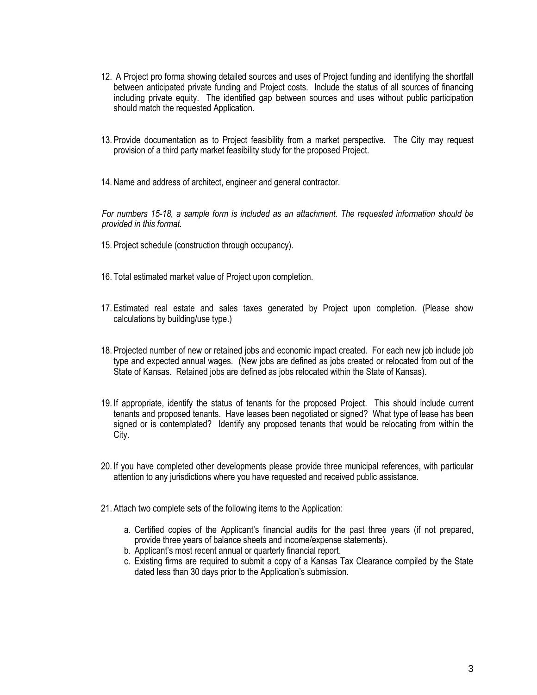- 12. A Project pro forma showing detailed sources and uses of Project funding and identifying the shortfall between anticipated private funding and Project costs. Include the status of all sources of financing including private equity. The identified gap between sources and uses without public participation should match the requested Application.
- 13. Provide documentation as to Project feasibility from a market perspective. The City may request provision of a third party market feasibility study for the proposed Project.
- 14. Name and address of architect, engineer and general contractor.

*For numbers 15-18, a sample form is included as an attachment. The requested information should be provided in this format.*

- 15. Project schedule (construction through occupancy).
- 16. Total estimated market value of Project upon completion.
- 17. Estimated real estate and sales taxes generated by Project upon completion. (Please show calculations by building/use type.)
- 18. Projected number of new or retained jobs and economic impact created. For each new job include job type and expected annual wages. (New jobs are defined as jobs created or relocated from out of the State of Kansas. Retained jobs are defined as jobs relocated within the State of Kansas).
- 19. If appropriate, identify the status of tenants for the proposed Project. This should include current tenants and proposed tenants. Have leases been negotiated or signed? What type of lease has been signed or is contemplated? Identify any proposed tenants that would be relocating from within the City.
- 20. If you have completed other developments please provide three municipal references, with particular attention to any jurisdictions where you have requested and received public assistance.
- 21. Attach two complete sets of the following items to the Application:
	- a. Certified copies of the Applicant's financial audits for the past three years (if not prepared, provide three years of balance sheets and income/expense statements).
	- b. Applicant's most recent annual or quarterly financial report.
	- c. Existing firms are required to submit a copy of a Kansas Tax Clearance compiled by the State dated less than 30 days prior to the Application's submission.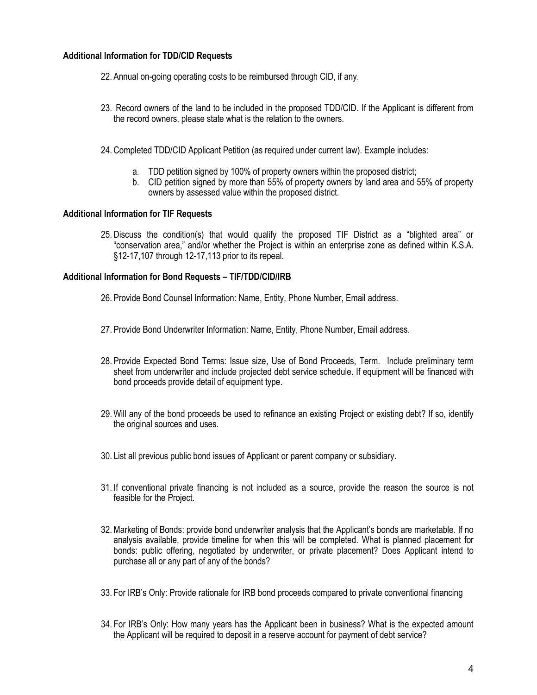### **Additional Information for TDD/CID Requests**

- 22. Annual on-going operating costs to be reimbursed through CID, if any.
- 23. Record owners of the land to be included in the proposed TDD/CID. If the Applicant is different from the record owners, please state what is the relation to the owners.
- 24. Completed TDD/CID Applicant Petition (as required under current law). Example includes:
	- a. TDD petition signed by 100% of property owners within the proposed district;
	- b. CID petition signed by more than 55% of property owners by land area and 55% of property owners by assessed value within the proposed district.

#### **Additional Information for TIF Requests**

25. Discuss the condition(s) that would qualify the proposed TIF District as a "blighted area" or "conservation area," and/or whether the Project is within an enterprise zone as defined within K.S.A. §12-17,107 through 12-17,113 prior to its repeal.

#### **Additional Information for Bond Requests – TIF/TDD/CID/IRB**

- 26. Provide Bond Counsel Information: Name, Entity, Phone Number, Email address.
- 27. Provide Bond Underwriter Information: Name, Entity, Phone Number, Email address.
- 28. Provide Expected Bond Terms: Issue size, Use of Bond Proceeds, Term. Include preliminary term sheet from underwriter and include projected debt service schedule. If equipment will be financed with bond proceeds provide detail of equipment type.
- 29. Will any of the bond proceeds be used to refinance an existing Project or existing debt? If so, identify the original sources and uses.
- 30. List all previous public bond issues of Applicant or parent company or subsidiary.
- 31. If conventional private financing is not included as a source, provide the reason the source is not feasible for the Project.
- 32.Marketing of Bonds: provide bond underwriter analysis that the Applicant's bonds are marketable. If no analysis available, provide timeline for when this will be completed. What is planned placement for bonds: public offering, negotiated by underwriter, or private placement? Does Applicant intend to purchase all or any part of any of the bonds?
- 33. For IRB's Only: Provide rationale for IRB bond proceeds compared to private conventional financing
- 34. For IRB's Only: How many years has the Applicant been in business? What is the expected amount the Applicant will be required to deposit in a reserve account for payment of debt service?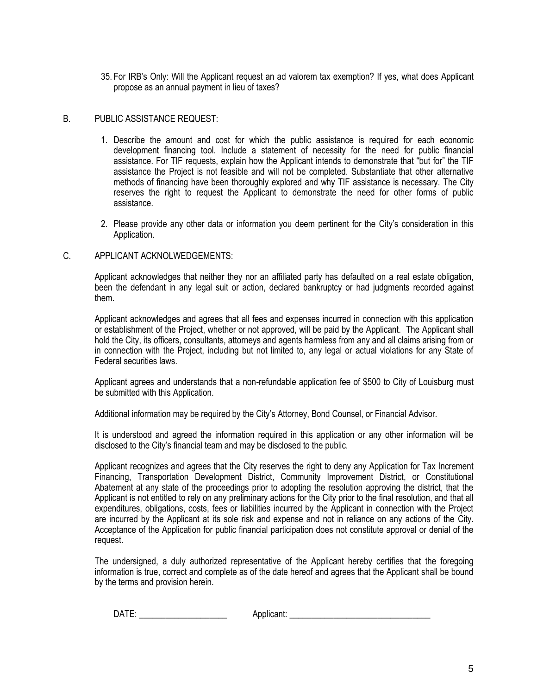35. For IRB's Only: Will the Applicant request an ad valorem tax exemption? If yes, what does Applicant propose as an annual payment in lieu of taxes?

#### B. PUBLIC ASSISTANCE REQUEST:

- 1. Describe the amount and cost for which the public assistance is required for each economic development financing tool. Include a statement of necessity for the need for public financial assistance. For TIF requests, explain how the Applicant intends to demonstrate that "but for" the TIF assistance the Project is not feasible and will not be completed. Substantiate that other alternative methods of financing have been thoroughly explored and why TIF assistance is necessary. The City reserves the right to request the Applicant to demonstrate the need for other forms of public assistance.
- 2. Please provide any other data or information you deem pertinent for the City's consideration in this Application.

#### C. APPLICANT ACKNOLWEDGEMENTS:

Applicant acknowledges that neither they nor an affiliated party has defaulted on a real estate obligation, been the defendant in any legal suit or action, declared bankruptcy or had judgments recorded against them.

Applicant acknowledges and agrees that all fees and expenses incurred in connection with this application or establishment of the Project, whether or not approved, will be paid by the Applicant. The Applicant shall hold the City, its officers, consultants, attorneys and agents harmless from any and all claims arising from or in connection with the Project, including but not limited to, any legal or actual violations for any State of Federal securities laws.

Applicant agrees and understands that a non-refundable application fee of \$500 to City of Louisburg must be submitted with this Application.

Additional information may be required by the City's Attorney, Bond Counsel, or Financial Advisor.

It is understood and agreed the information required in this application or any other information will be disclosed to the City's financial team and may be disclosed to the public.

Applicant recognizes and agrees that the City reserves the right to deny any Application for Tax Increment Financing, Transportation Development District, Community Improvement District, or Constitutional Abatement at any state of the proceedings prior to adopting the resolution approving the district, that the Applicant is not entitled to rely on any preliminary actions for the City prior to the final resolution, and that all expenditures, obligations, costs, fees or liabilities incurred by the Applicant in connection with the Project are incurred by the Applicant at its sole risk and expense and not in reliance on any actions of the City. Acceptance of the Application for public financial participation does not constitute approval or denial of the request.

The undersigned, a duly authorized representative of the Applicant hereby certifies that the foregoing information is true, correct and complete as of the date hereof and agrees that the Applicant shall be bound by the terms and provision herein.

| . .<br>. .<br>. . |  |
|-------------------|--|
|-------------------|--|